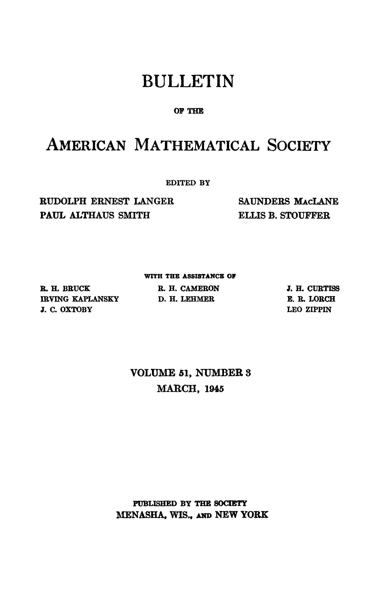## BULLETIN

### **OP THE**

# AMERICAN MATHEMATICAL SOCIETY

**EDITED BY** 

**RUDOLPH ERNEST LANGER PAUL ALTHAUS SMITH** 

**SAUNDERS MACLANE ELLIS B. STOUFFER** 

### **WITH THE ASSISTANCE OP**

**R. H. BRÜCK IRVING KAPLANSKY D. H. LEHMER J. C. OXTOBY** 

**R. H. CAMERON** 

**J. H. CÜRTISS E« R. LORCH LEO ZIPPIN** 

### **VOLUME 51, NUMBER 3 MARCH, 1945**

**PUBLISHED BY THE SOCIETY MENASHA, WIS., AND NEW YORK**